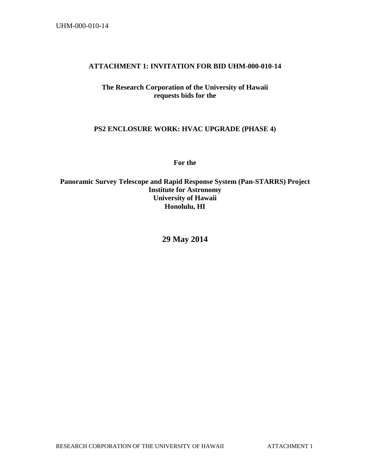#### **ATTACHMENT 1: INVITATION FOR BID UHM-000-010-14**

### **The Research Corporation of the University of Hawaii requests bids for the**

### **PS2 ENCLOSURE WORK: HVAC UPGRADE (PHASE 4)**

**For the** 

**Panoramic Survey Telescope and Rapid Response System (Pan-STARRS) Project Institute for Astronomy University of Hawaii Honolulu, HI** 

**29 May 2014**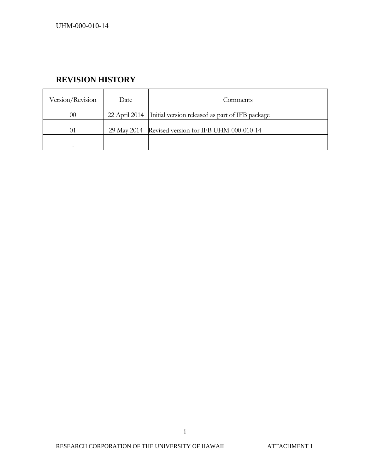# **REVISION HISTORY**

| Version/Revision | Date          | Comments                                           |
|------------------|---------------|----------------------------------------------------|
| 00               | 22 April 2014 | Initial version released as part of IFB package    |
| 01               |               | 29 May 2014 Revised version for IFB UHM-000-010-14 |
|                  |               |                                                    |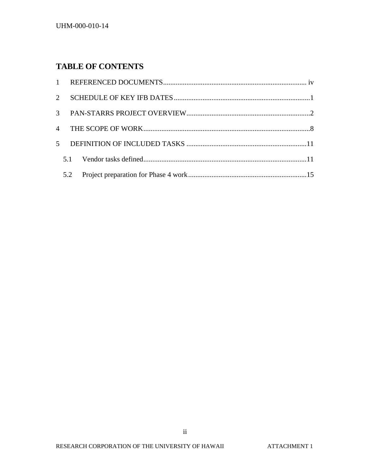# **TABLE OF CONTENTS**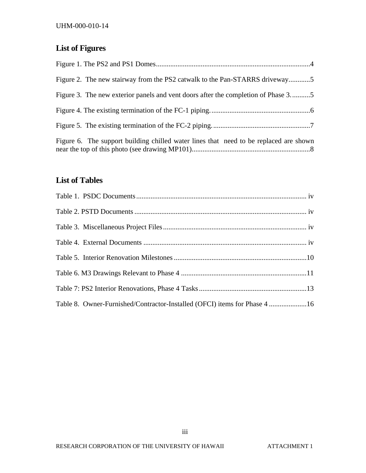# **List of Figures**

| Figure 2. The new stairway from the PS2 catwalk to the Pan-STARRS driveway5           |
|---------------------------------------------------------------------------------------|
| Figure 3. The new exterior panels and vent doors after the completion of Phase 35     |
|                                                                                       |
|                                                                                       |
| Figure 6. The support building chilled water lines that need to be replaced are shown |

# **List of Tables**

| Table 8. Owner-Furnished/Contractor-Installed (OFCI) items for Phase 4 16 |  |
|---------------------------------------------------------------------------|--|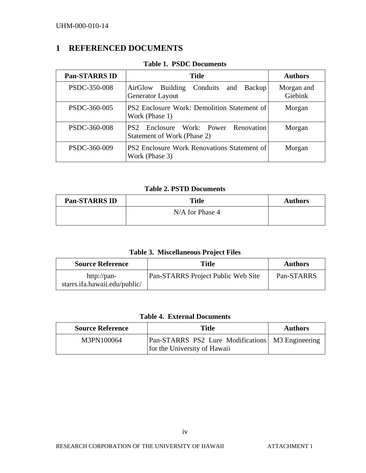# **1 REFERENCED DOCUMENTS**

| <b>Pan-STARRS ID</b> | <b>Title</b>                                                          | <b>Authors</b>        |
|----------------------|-----------------------------------------------------------------------|-----------------------|
| PSDC-350-008         | Conduits and Backup<br><b>Building</b><br>AirGlow<br>Generator Layout | Morgan and<br>Giebink |
| PSDC-360-005         | PS2 Enclosure Work: Demolition Statement of<br>Work (Phase 1)         | Morgan                |
| PSDC-360-008         | PS2 Enclosure Work: Power Renovation<br>Statement of Work (Phase 2)   | Morgan                |
| PSDC-360-009         | <b>PS2 Enclosure Work Renovations Statement of</b><br>Work (Phase 3)  | Morgan                |

**Table 1. PSDC Documents** 

**Table 2. PSTD Documents** 

| <b>Pan-STARRS ID</b> | <b>Title</b>    | <b>Authors</b> |
|----------------------|-----------------|----------------|
|                      | N/A for Phase 4 |                |

| Table 3. Miscellaneous Project Files |  |
|--------------------------------------|--|
|--------------------------------------|--|

| <b>Source Reference</b>                      | Title                              | <b>Authors</b> |
|----------------------------------------------|------------------------------------|----------------|
| http://pan-<br>starrs.ifa.hawaii.edu/public/ | Pan-STARRS Project Public Web Site | Pan-STARRS     |

### **Table 4. External Documents**

| <b>Source Reference</b> | <b>Title</b>                                                                              | <b>Authors</b> |
|-------------------------|-------------------------------------------------------------------------------------------|----------------|
| M3PN100064              | <b>Pan-STARRS</b> PS2 Lure Modifications   M3 Engineering<br>for the University of Hawaii |                |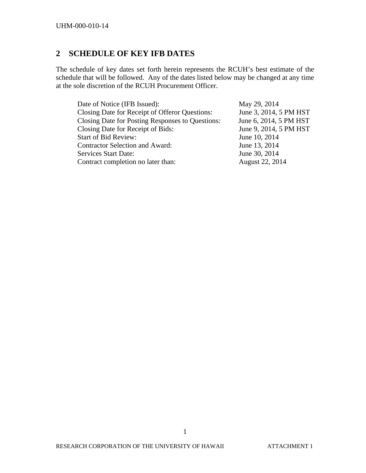# **2 SCHEDULE OF KEY IFB DATES**

The schedule of key dates set forth herein represents the RCUH's best estimate of the schedule that will be followed. Any of the dates listed below may be changed at any time at the sole discretion of the RCUH Procurement Officer.

| Date of Notice (IFB Issued):                     | May 29, 2014           |
|--------------------------------------------------|------------------------|
| Closing Date for Receipt of Offeror Questions:   | June 3, 2014, 5 PM HST |
| Closing Date for Posting Responses to Questions: | June 6, 2014, 5 PM HST |
| Closing Date for Receipt of Bids:                | June 9, 2014, 5 PM HST |
| <b>Start of Bid Review:</b>                      | June 10, 2014          |
| <b>Contractor Selection and Award:</b>           | June 13, 2014          |
| <b>Services Start Date:</b>                      | June 30, 2014          |
| Contract completion no later than:               | August 22, 2014        |
|                                                  |                        |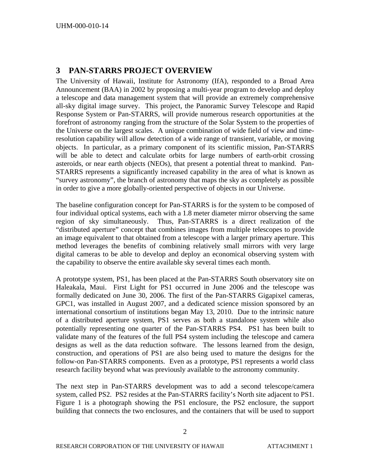### **3 PAN-STARRS PROJECT OVERVIEW**

The University of Hawaii, Institute for Astronomy (IfA), responded to a Broad Area Announcement (BAA) in 2002 by proposing a multi-year program to develop and deploy a telescope and data management system that will provide an extremely comprehensive all-sky digital image survey. This project, the Panoramic Survey Telescope and Rapid Response System or Pan-STARRS, will provide numerous research opportunities at the forefront of astronomy ranging from the structure of the Solar System to the properties of the Universe on the largest scales. A unique combination of wide field of view and timeresolution capability will allow detection of a wide range of transient, variable, or moving objects. In particular, as a primary component of its scientific mission, Pan-STARRS will be able to detect and calculate orbits for large numbers of earth-orbit crossing asteroids, or near earth objects (NEOs), that present a potential threat to mankind. Pan-STARRS represents a significantly increased capability in the area of what is known as "survey astronomy", the branch of astronomy that maps the sky as completely as possible in order to give a more globally-oriented perspective of objects in our Universe.

The baseline configuration concept for Pan-STARRS is for the system to be composed of four individual optical systems, each with a 1.8 meter diameter mirror observing the same region of sky simultaneously. Thus, Pan-STARRS is a direct realization of the "distributed aperture" concept that combines images from multiple telescopes to provide an image equivalent to that obtained from a telescope with a larger primary aperture. This method leverages the benefits of combining relatively small mirrors with very large digital cameras to be able to develop and deploy an economical observing system with the capability to observe the entire available sky several times each month.

A prototype system, PS1, has been placed at the Pan-STARRS South observatory site on Haleakala, Maui. First Light for PS1 occurred in June 2006 and the telescope was formally dedicated on June 30, 2006. The first of the Pan-STARRS Gigapixel cameras, GPC1, was installed in August 2007, and a dedicated science mission sponsored by an international consortium of institutions began May 13, 2010. Due to the intrinsic nature of a distributed aperture system, PS1 serves as both a standalone system while also potentially representing one quarter of the Pan-STARRS PS4. PS1 has been built to validate many of the features of the full PS4 system including the telescope and camera designs as well as the data reduction software. The lessons learned from the design, construction, and operations of PS1 are also being used to mature the designs for the follow-on Pan-STARRS components. Even as a prototype, PS1 represents a world class research facility beyond what was previously available to the astronomy community.

The next step in Pan-STARRS development was to add a second telescope/camera system, called PS2. PS2 resides at the Pan-STARRS facility's North site adjacent to PS1. Figure 1 is a photograph showing the PS1 enclosure, the PS2 enclosure, the support building that connects the two enclosures, and the containers that will be used to support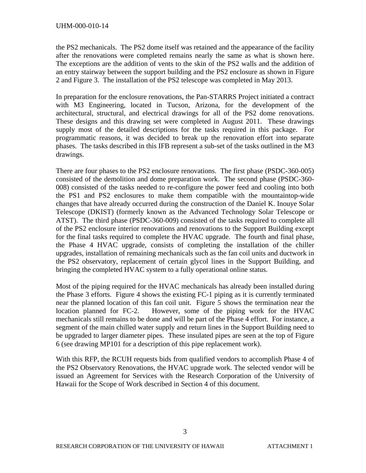the PS2 mechanicals. The PS2 dome itself was retained and the appearance of the facility after the renovations were completed remains nearly the same as what is shown here. The exceptions are the addition of vents to the skin of the PS2 walls and the addition of an entry stairway between the support building and the PS2 enclosure as shown in Figure 2 and Figure 3. The installation of the PS2 telescope was completed in May 2013.

In preparation for the enclosure renovations, the Pan-STARRS Project initiated a contract with M3 Engineering, located in Tucson, Arizona, for the development of the architectural, structural, and electrical drawings for all of the PS2 dome renovations. These designs and this drawing set were completed in August 2011. These drawings supply most of the detailed descriptions for the tasks required in this package. For programmatic reasons, it was decided to break up the renovation effort into separate phases. The tasks described in this IFB represent a sub-set of the tasks outlined in the M3 drawings.

There are four phases to the PS2 enclosure renovations. The first phase (PSDC-360-005) consisted of the demolition and dome preparation work. The second phase (PSDC-360- 008) consisted of the tasks needed to re-configure the power feed and cooling into both the PS1 and PS2 enclosures to make them compatible with the mountaintop-wide changes that have already occurred during the construction of the Daniel K. Inouye Solar Telescope (DKIST) (formerly known as the Advanced Technology Solar Telescope or ATST). The third phase (PSDC-360-009) consisted of the tasks required to complete all of the PS2 enclosure interior renovations and renovations to the Support Building except for the final tasks required to complete the HVAC upgrade. The fourth and final phase, the Phase 4 HVAC upgrade, consists of completing the installation of the chiller upgrades, installation of remaining mechanicals such as the fan coil units and ductwork in the PS2 observatory, replacement of certain glycol lines in the Support Building, and bringing the completed HVAC system to a fully operational online status.

Most of the piping required for the HVAC mechanicals has already been installed during the Phase 3 efforts. Figure 4 shows the existing FC-1 piping as it is currently terminated near the planned location of this fan coil unit. Figure 5 shows the termination near the location planned for FC-2. However, some of the piping work for the HVAC mechanicals still remains to be done and will be part of the Phase 4 effort. For instance, a segment of the main chilled water supply and return lines in the Support Building need to be upgraded to larger diameter pipes. These insulated pipes are seen at the top of Figure 6 (see drawing MP101 for a description of this pipe replacement work).

With this RFP, the RCUH requests bids from qualified vendors to accomplish Phase 4 of the PS2 Observatory Renovations, the HVAC upgrade work. The selected vendor will be issued an Agreement for Services with the Research Corporation of the University of Hawaii for the Scope of Work described in Section 4 of this document.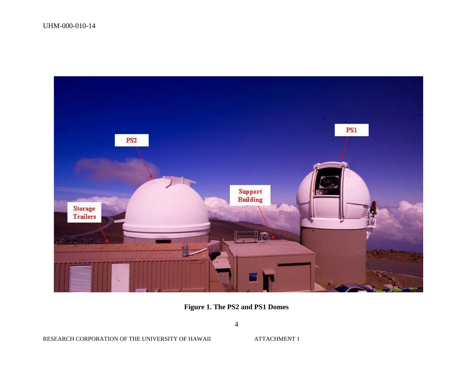

**Figure 1. The PS2 and PS1 Domes** 

**ATTACHMENT 1**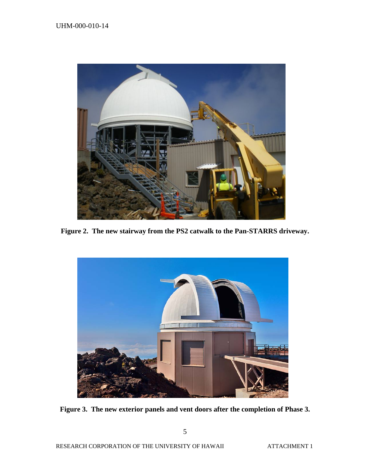

**Figure 2. The new stairway from the PS2 catwalk to the Pan-STARRS driveway.**



**Figure 3. The new exterior panels and vent doors after the completion of Phase 3.**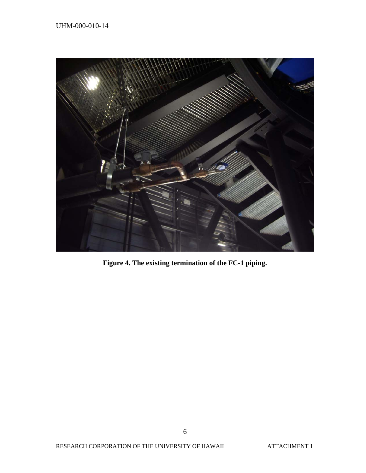

**Figure 4. The existing termination of the FC-1 piping.**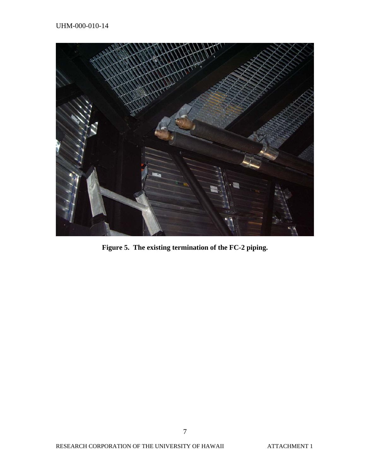

**Figure 5. The existing termination of the FC-2 piping.**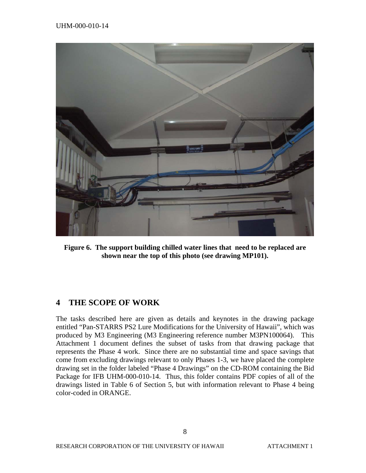

**Figure 6. The support building chilled water lines that need to be replaced are shown near the top of this photo (see drawing MP101).** 

### **4 THE SCOPE OF WORK**

The tasks described here are given as details and keynotes in the drawing package entitled "Pan-STARRS PS2 Lure Modifications for the University of Hawaii", which was produced by M3 Engineering (M3 Engineering reference number M3PN100064). This Attachment 1 document defines the subset of tasks from that drawing package that represents the Phase 4 work. Since there are no substantial time and space savings that come from excluding drawings relevant to only Phases 1-3, we have placed the complete drawing set in the folder labeled "Phase 4 Drawings" on the CD-ROM containing the Bid Package for IFB UHM-000-010-14. Thus, this folder contains PDF copies of all of the drawings listed in Table 6 of Section 5, but with information relevant to Phase 4 being color-coded in ORANGE.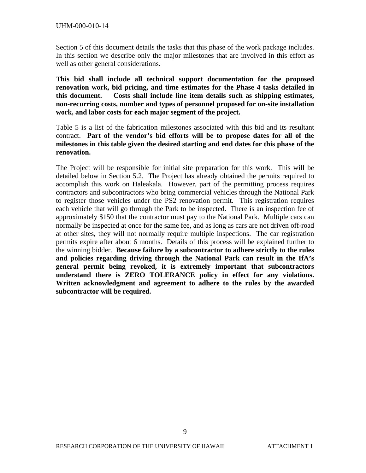Section 5 of this document details the tasks that this phase of the work package includes. In this section we describe only the major milestones that are involved in this effort as well as other general considerations.

**This bid shall include all technical support documentation for the proposed renovation work, bid pricing, and time estimates for the Phase 4 tasks detailed in this document. Costs shall include line item details such as shipping estimates, non-recurring costs, number and types of personnel proposed for on-site installation work, and labor costs for each major segment of the project.** 

Table 5 is a list of the fabrication milestones associated with this bid and its resultant contract. **Part of the vendor's bid efforts will be to propose dates for all of the milestones in this table given the desired starting and end dates for this phase of the renovation.**

The Project will be responsible for initial site preparation for this work. This will be detailed below in Section 5.2. The Project has already obtained the permits required to accomplish this work on Haleakala. However, part of the permitting process requires contractors and subcontractors who bring commercial vehicles through the National Park to register those vehicles under the PS2 renovation permit. This registration requires each vehicle that will go through the Park to be inspected. There is an inspection fee of approximately \$150 that the contractor must pay to the National Park. Multiple cars can normally be inspected at once for the same fee, and as long as cars are not driven off-road at other sites, they will not normally require multiple inspections. The car registration permits expire after about 6 months. Details of this process will be explained further to the winning bidder. **Because failure by a subcontractor to adhere strictly to the rules and policies regarding driving through the National Park can result in the IfA's general permit being revoked, it is extremely important that subcontractors understand there is ZERO TOLERANCE policy in effect for any violations. Written acknowledgment and agreement to adhere to the rules by the awarded subcontractor will be required.**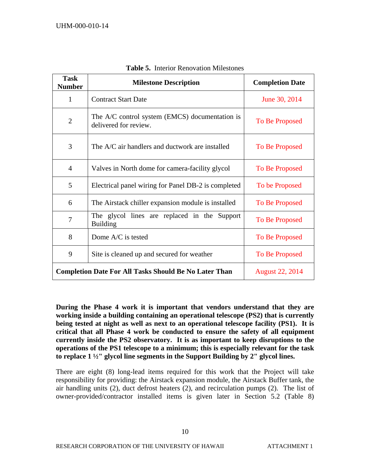| <b>Task</b><br><b>Number</b>                                                      | <b>Milestone Description</b>                                            | <b>Completion Date</b> |
|-----------------------------------------------------------------------------------|-------------------------------------------------------------------------|------------------------|
| 1                                                                                 | <b>Contract Start Date</b>                                              | June 30, 2014          |
| $\overline{2}$                                                                    | The A/C control system (EMCS) documentation is<br>delivered for review. | To Be Proposed         |
| 3<br>The A/C air handlers and ductwork are installed<br>To Be Proposed            |                                                                         |                        |
| $\overline{4}$                                                                    | Valves in North dome for camera-facility glycol                         | To Be Proposed         |
| 5                                                                                 | Electrical panel wiring for Panel DB-2 is completed                     | To be Proposed         |
| 6                                                                                 | The Airstack chiller expansion module is installed                      | To Be Proposed         |
| The glycol lines are replaced in the Support<br>$\overline{7}$<br><b>Building</b> |                                                                         | To Be Proposed         |
| 8                                                                                 | Dome A/C is tested                                                      | To Be Proposed         |
| 9                                                                                 | Site is cleaned up and secured for weather                              | To Be Proposed         |
|                                                                                   | <b>Completion Date For All Tasks Should Be No Later Than</b>            | <b>August 22, 2014</b> |

**Table 5.** Interior Renovation Milestones

**During the Phase 4 work it is important that vendors understand that they are working inside a building containing an operational telescope (PS2) that is currently being tested at night as well as next to an operational telescope facility (PS1). It is critical that all Phase 4 work be conducted to ensure the safety of all equipment currently inside the PS2 observatory. It is as important to keep disruptions to the operations of the PS1 telescope to a minimum; this is especially relevant for the task to replace 1 ½" glycol line segments in the Support Building by 2" glycol lines.** 

There are eight (8) long-lead items required for this work that the Project will take responsibility for providing: the Airstack expansion module, the Airstack Buffer tank, the air handling units (2), duct defrost heaters (2), and recirculation pumps (2). The list of owner-provided/contractor installed items is given later in Section 5.2 (Table 8)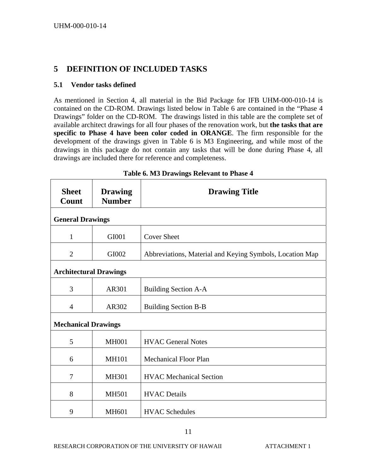### **5 DEFINITION OF INCLUDED TASKS**

### **5.1 Vendor tasks defined**

As mentioned in Section 4, all material in the Bid Package for IFB UHM-000-010-14 is contained on the CD-ROM. Drawings listed below in Table 6 are contained in the "Phase 4 Drawings" folder on the CD-ROM. The drawings listed in this table are the complete set of available architect drawings for all four phases of the renovation work, but **the tasks that are specific to Phase 4 have been color coded in ORANGE**. The firm responsible for the development of the drawings given in Table 6 is M3 Engineering, and while most of the drawings in this package do not contain any tasks that will be done during Phase 4, all drawings are included there for reference and completeness.

| <b>Sheet</b><br>Count         | <b>Drawing</b><br><b>Number</b> | <b>Drawing Title</b>                                     |  |
|-------------------------------|---------------------------------|----------------------------------------------------------|--|
| <b>General Drawings</b>       |                                 |                                                          |  |
| 1                             | GI001                           | <b>Cover Sheet</b>                                       |  |
| $\overline{2}$                | GI002                           | Abbreviations, Material and Keying Symbols, Location Map |  |
| <b>Architectural Drawings</b> |                                 |                                                          |  |
| 3                             | AR301                           | <b>Building Section A-A</b>                              |  |
| $\overline{4}$                | AR302                           | <b>Building Section B-B</b>                              |  |
|                               | <b>Mechanical Drawings</b>      |                                                          |  |
| 5                             | <b>MH001</b>                    | <b>HVAC General Notes</b>                                |  |
| 6                             | <b>MH101</b>                    | <b>Mechanical Floor Plan</b>                             |  |
| $\tau$                        | <b>MH301</b>                    | <b>HVAC</b> Mechanical Section                           |  |
| 8                             | <b>MH501</b>                    | <b>HVAC</b> Details                                      |  |
| 9                             | <b>MH601</b>                    | <b>HVAC Schedules</b>                                    |  |

#### **Table 6. M3 Drawings Relevant to Phase 4**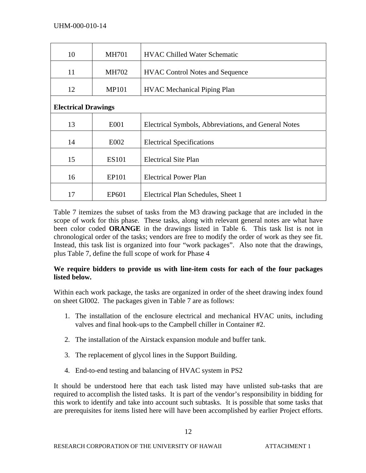| 10                         | <b>MH701</b>      | <b>HVAC Chilled Water Schematic</b>                  |  |  |
|----------------------------|-------------------|------------------------------------------------------|--|--|
| 11                         | <b>MH702</b>      | <b>HVAC Control Notes and Sequence</b>               |  |  |
| 12                         | <b>MP101</b>      | <b>HVAC</b> Mechanical Piping Plan                   |  |  |
| <b>Electrical Drawings</b> |                   |                                                      |  |  |
| 13                         | E001              | Electrical Symbols, Abbreviations, and General Notes |  |  |
| 14                         | E002              | <b>Electrical Specifications</b>                     |  |  |
| 15                         | <b>ES101</b>      | <b>Electrical Site Plan</b>                          |  |  |
| 16                         | EP101             | <b>Electrical Power Plan</b>                         |  |  |
| 17                         | EP <sub>601</sub> | Electrical Plan Schedules, Sheet 1                   |  |  |

Table 7 itemizes the subset of tasks from the M3 drawing package that are included in the scope of work for this phase. These tasks, along with relevant general notes are what have been color coded **ORANGE** in the drawings listed in Table 6. This task list is not in chronological order of the tasks; vendors are free to modify the order of work as they see fit. Instead, this task list is organized into four "work packages". Also note that the drawings, plus Table 7, define the full scope of work for Phase 4

### **We require bidders to provide us with line-item costs for each of the four packages listed below.**

Within each work package, the tasks are organized in order of the sheet drawing index found on sheet GI002. The packages given in Table 7 are as follows:

- 1. The installation of the enclosure electrical and mechanical HVAC units, including valves and final hook-ups to the Campbell chiller in Container #2.
- 2. The installation of the Airstack expansion module and buffer tank.
- 3. The replacement of glycol lines in the Support Building.
- 4. End-to-end testing and balancing of HVAC system in PS2

It should be understood here that each task listed may have unlisted sub-tasks that are required to accomplish the listed tasks. It is part of the vendor's responsibility in bidding for this work to identify and take into account such subtasks. It is possible that some tasks that are prerequisites for items listed here will have been accomplished by earlier Project efforts.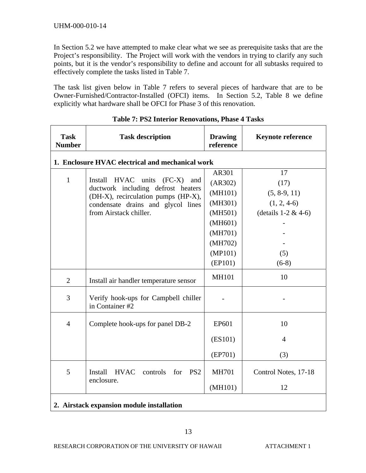In Section 5.2 we have attempted to make clear what we see as prerequisite tasks that are the Project's responsibility. The Project will work with the vendors in trying to clarify any such points, but it is the vendor's responsibility to define and account for all subtasks required to effectively complete the tasks listed in Table 7.

The task list given below in Table 7 refers to several pieces of hardware that are to be Owner-Furnished/Contractor-Installed (OFCI) items. In Section 5.2, Table 8 we define explicitly what hardware shall be OFCI for Phase 3 of this renovation.

| <b>Task</b><br><b>Number</b>                     | <b>Task description</b>                                                                                                                                               | <b>Drawing</b><br>reference | <b>Keynote reference</b> |  |  |
|--------------------------------------------------|-----------------------------------------------------------------------------------------------------------------------------------------------------------------------|-----------------------------|--------------------------|--|--|
| 1. Enclosure HVAC electrical and mechanical work |                                                                                                                                                                       |                             |                          |  |  |
|                                                  | <b>HVAC</b><br>units<br>Install<br>$(FC-X)$<br>and<br>ductwork including defrost heaters<br>(DH-X), recirculation pumps (HP-X),<br>condensate drains and glycol lines | AR301                       | 17                       |  |  |
| $\mathbf{1}$                                     |                                                                                                                                                                       | (AR302)                     | (17)                     |  |  |
|                                                  |                                                                                                                                                                       | (MH101)                     | $(5, 8-9, 11)$           |  |  |
|                                                  |                                                                                                                                                                       | (MH301)                     | $(1, 2, 4-6)$            |  |  |
|                                                  | from Airstack chiller.                                                                                                                                                | (MH501)                     | (details $1-2 & 4-6$ )   |  |  |
|                                                  |                                                                                                                                                                       | (MH601)                     |                          |  |  |
|                                                  |                                                                                                                                                                       | (MH701)                     |                          |  |  |
|                                                  |                                                                                                                                                                       | (MH702)                     |                          |  |  |
|                                                  |                                                                                                                                                                       | (MP101)                     | (5)                      |  |  |
|                                                  |                                                                                                                                                                       | (EP101)                     | $(6-8)$                  |  |  |
| $\overline{2}$                                   | Install air handler temperature sensor                                                                                                                                | <b>MH101</b>                | 10                       |  |  |
| 3                                                | Verify hook-ups for Campbell chiller<br>in Container #2                                                                                                               |                             |                          |  |  |
| $\overline{4}$                                   | Complete hook-ups for panel DB-2                                                                                                                                      | EP601                       | 10                       |  |  |
|                                                  |                                                                                                                                                                       | (ES101)                     | $\overline{4}$           |  |  |
|                                                  |                                                                                                                                                                       | (EP701)                     | (3)                      |  |  |
| 5                                                | Install<br><b>HVAC</b><br>for<br>PS <sub>2</sub><br>controls<br>enclosure.                                                                                            | <b>MH701</b>                | Control Notes, 17-18     |  |  |
|                                                  |                                                                                                                                                                       | (MH101)                     | 12                       |  |  |
| 2. Airstack expansion module installation        |                                                                                                                                                                       |                             |                          |  |  |

|  |  |  | Table 7: PS2 Interior Renovations, Phase 4 Tasks |  |  |
|--|--|--|--------------------------------------------------|--|--|
|--|--|--|--------------------------------------------------|--|--|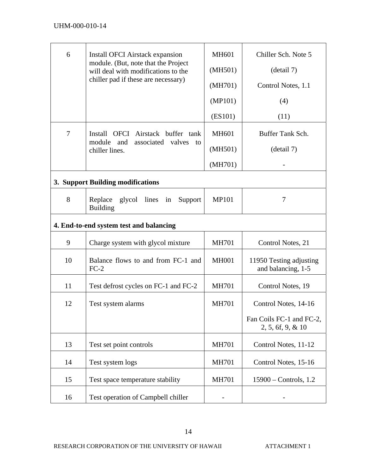| 6                                       | Install OFCI Airstack expansion                                            | <b>MH601</b> | Chiller Sch. Note 5                              |  |  |
|-----------------------------------------|----------------------------------------------------------------------------|--------------|--------------------------------------------------|--|--|
|                                         | module. (But, note that the Project<br>will deal with modifications to the | (MH501)      | (detail 7)                                       |  |  |
|                                         | chiller pad if these are necessary)                                        | (MH701)      | Control Notes, 1.1                               |  |  |
|                                         |                                                                            | (MP101)      | (4)                                              |  |  |
|                                         |                                                                            | (ES101)      | (11)                                             |  |  |
| $\overline{7}$                          | Install OFCI Airstack buffer tank<br>module and<br>associated valves       | <b>MH601</b> | Buffer Tank Sch.                                 |  |  |
|                                         | to<br>chiller lines.                                                       | (MH501)      | (detail 7)                                       |  |  |
|                                         |                                                                            | (MH701)      |                                                  |  |  |
| 3. Support Building modifications       |                                                                            |              |                                                  |  |  |
| 8                                       | Replace<br>glycol lines in<br>Support<br><b>Building</b>                   | <b>MP101</b> | 7                                                |  |  |
| 4. End-to-end system test and balancing |                                                                            |              |                                                  |  |  |
| 9                                       | Charge system with glycol mixture                                          | <b>MH701</b> | Control Notes, 21                                |  |  |
| 10                                      | Balance flows to and from FC-1 and<br>$FC-2$                               | <b>MH001</b> | 11950 Testing adjusting<br>and balancing, 1-5    |  |  |
| 11                                      | Test defrost cycles on FC-1 and FC-2                                       | <b>MH701</b> | Control Notes, 19                                |  |  |
| 12                                      | Test system alarms                                                         | <b>MH701</b> | Control Notes, 14-16                             |  |  |
|                                         |                                                                            |              | Fan Coils FC-1 and FC-2,<br>$2, 5, 6f, 9, \& 10$ |  |  |
| 13                                      | Test set point controls                                                    | <b>MH701</b> | Control Notes, 11-12                             |  |  |
| 14                                      | Test system logs                                                           | <b>MH701</b> | Control Notes, 15-16                             |  |  |
| 15                                      | Test space temperature stability                                           | <b>MH701</b> | $15900 -$ Controls, 1.2                          |  |  |
| 16                                      | Test operation of Campbell chiller                                         |              |                                                  |  |  |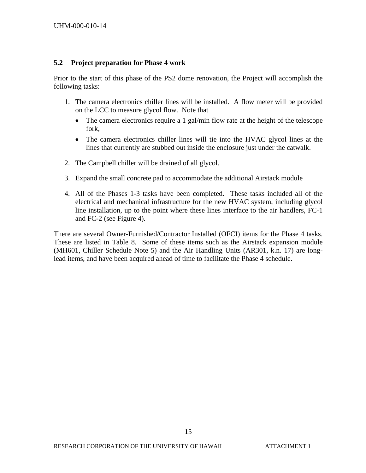#### **5.2 Project preparation for Phase 4 work**

Prior to the start of this phase of the PS2 dome renovation, the Project will accomplish the following tasks:

- 1. The camera electronics chiller lines will be installed. A flow meter will be provided on the LCC to measure glycol flow. Note that
	- The camera electronics require a 1 gal/min flow rate at the height of the telescope fork,
	- The camera electronics chiller lines will tie into the HVAC glycol lines at the lines that currently are stubbed out inside the enclosure just under the catwalk.
- 2. The Campbell chiller will be drained of all glycol.
- 3. Expand the small concrete pad to accommodate the additional Airstack module
- 4. All of the Phases 1-3 tasks have been completed. These tasks included all of the electrical and mechanical infrastructure for the new HVAC system, including glycol line installation, up to the point where these lines interface to the air handlers, FC-1 and FC-2 (see Figure 4).

There are several Owner-Furnished/Contractor Installed (OFCI) items for the Phase 4 tasks. These are listed in Table 8. Some of these items such as the Airstack expansion module (MH601, Chiller Schedule Note 5) and the Air Handling Units (AR301, k.n. 17) are longlead items, and have been acquired ahead of time to facilitate the Phase 4 schedule.